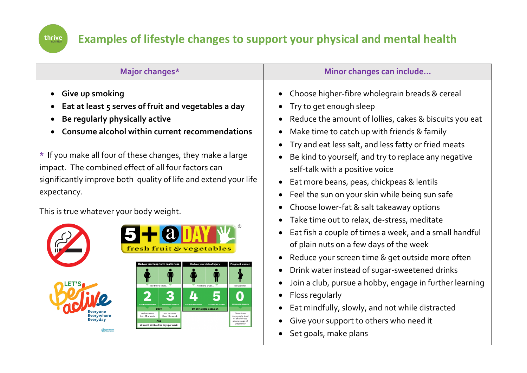

## **Examples of lifestyle changes to support your physical and mental health**

| Major changes*                                                                                                                                                                                                                                                                                                                                                                                                                                                                                                                                                 | Minor changes can include                                                                                                                                                                                                                                                                                                                                                                                                                                                                                                                                                                                                                                                                                                                                                                                                                                                                                                                      |
|----------------------------------------------------------------------------------------------------------------------------------------------------------------------------------------------------------------------------------------------------------------------------------------------------------------------------------------------------------------------------------------------------------------------------------------------------------------------------------------------------------------------------------------------------------------|------------------------------------------------------------------------------------------------------------------------------------------------------------------------------------------------------------------------------------------------------------------------------------------------------------------------------------------------------------------------------------------------------------------------------------------------------------------------------------------------------------------------------------------------------------------------------------------------------------------------------------------------------------------------------------------------------------------------------------------------------------------------------------------------------------------------------------------------------------------------------------------------------------------------------------------------|
| Give up smoking<br>Eat at least 5 serves of fruit and vegetables a day<br>Be regularly physically active<br>Consume alcohol within current recommendations<br>* If you make all four of these changes, they make a large<br>impact. The combined effect of all four factors can<br>significantly improve both quality of life and extend your life<br>expectancy.<br>This is true whatever your body weight.<br>& vegetables<br>$\mathbf{G}$<br>and no more<br>and no more<br>There is no<br>han 10 a wee<br>own safe lev<br>than 15 a weel<br>at any stage of | Choose higher-fibre wholegrain breads & cereal<br>Try to get enough sleep<br>Reduce the amount of lollies, cakes & biscuits you eat<br>Make time to catch up with friends & family<br>Try and eat less salt, and less fatty or fried meats<br>Be kind to yourself, and try to replace any negative<br>self-talk with a positive voice<br>Eat more beans, peas, chickpeas & lentils<br>Feel the sun on your skin while being sun safe<br>Choose lower-fat & salt takeaway options<br>Take time out to relax, de-stress, meditate<br>Eat fish a couple of times a week, and a small handful<br>of plain nuts on a few days of the week<br>Reduce your screen time & get outside more often<br>Drink water instead of sugar-sweetened drinks<br>Join a club, pursue a hobby, engage in further learning<br>Floss regularly<br>Eat mindfully, slowly, and not while distracted<br>Give your support to others who need it<br>Set goals, make plans |